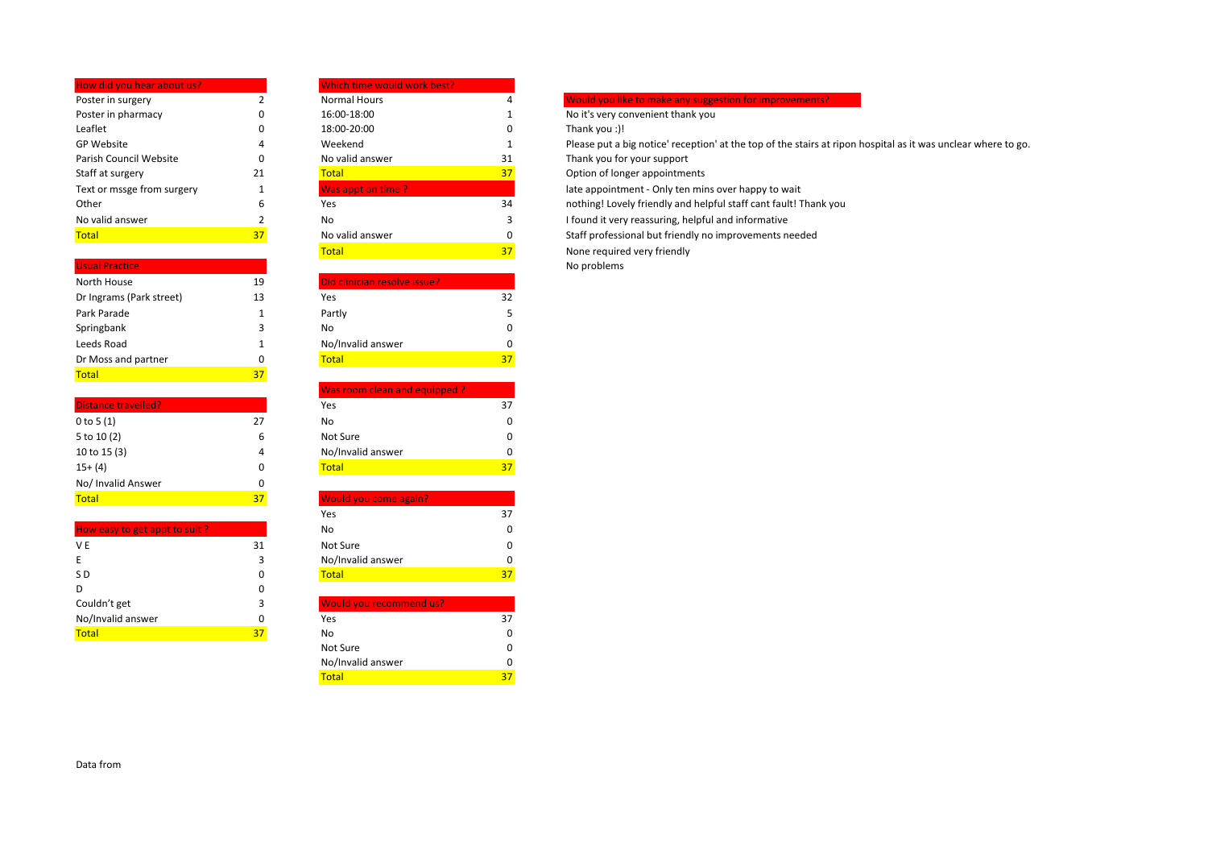| How did you hear about us? |    | Which time would work best? |    |                      |
|----------------------------|----|-----------------------------|----|----------------------|
| Poster in surgery          |    | Normal Hours                | 4  | <b>Would you lil</b> |
| Poster in pharmacy         | 0  | 16:00-18:00                 |    | No it's very co      |
| Leaflet                    | 0  | 18:00-20:00                 | 0  | Thank you :)!        |
| <b>GP Website</b>          | 4  | Weekend                     |    | Please put a         |
| Parish Council Website     | 0  | No valid answer             | 31 | Thank you fo         |
| Staff at surgery           | 21 | <b>Total</b>                | 37 | Option of lon        |
| Text or mssge from surgery |    | Was appt on time?           |    | late appointr        |
| Other                      | 6  | Yes                         | 34 | nothing! Love        |
| No valid answer            |    | No                          | 3  | I found it ver       |
| <b>Total</b>               | 37 | No valid answer             | 0  | Staff professi       |

| <b>Usual Practice</b>    |    |                              |
|--------------------------|----|------------------------------|
| North House              | 19 | Did clinician resolve issue? |
| Dr Ingrams (Park street) | 13 | Yes                          |
| Park Parade              | 1  | Partly                       |
| Springbank               | 3  | No                           |
| Leeds Road               | 1  | No/Invalid answer            |
| Dr Moss and partner      |    | Total                        |

| <b>Distance travelled?</b> |    | Yes                   | 37 |
|----------------------------|----|-----------------------|----|
| 0 to 5 $(1)$               | 27 | No                    |    |
| 5 to 10 (2)                | 6  | Not Sure              |    |
| 10 to 15 (3)               | 4  | No/Invalid answer     |    |
| $15+ (4)$                  | 0  | Total                 | 37 |
| No/ Invalid Answer         | 0  |                       |    |
| <b>Total</b>               | 37 | Would you come again? |    |

Total 37 September 2014 1995 1997

| How easy to get appt to suit? |    | No                             |
|-------------------------------|----|--------------------------------|
| V E                           | 31 | Not Sure                       |
|                               | 3  | No/Invalid answer              |
| S D                           | 0  | <b>Total</b>                   |
|                               | 0  |                                |
| Couldn't get                  | 3  | <b>Would you recommend us?</b> |
| No/Invalid answer             | O  | Yes                            |
| $T = 1$                       | 77 | $N =$                          |

| www.uk              |    |
|---------------------|----|
| <b>Normal Hours</b> |    |
| 16:00-18:00         |    |
| 18:00-20:00         |    |
| Weekend             |    |
| No valid answer     | 3. |
| <b>Total</b>        | 31 |
| Was appt on time?   |    |
| Yes                 | 3, |
| No                  |    |
| No valid answer     |    |
| —                   |    |

| North House              | 19 | Did clinician resolve issue? |
|--------------------------|----|------------------------------|
| Dr Ingrams (Park street) | 13 | Yes                          |
| Park Parade              |    | Partly                       |
| Springbank               |    | No                           |
| Leeds Road               |    | No/Invalid answer            |
| Dr Moss and partner      |    | Total                        |

|                            |    | Was room clean and equipped? |    |
|----------------------------|----|------------------------------|----|
| <b>Distance travelled?</b> |    | Yes                          | 37 |
| 0 to 5 (1)                 | 27 | No                           |    |
| 5 to 10 (2)                |    | Not Sure                     |    |
| 10 to 15 (3)               |    | No/Invalid answer            |    |
| $15+ (4)$                  |    | Total                        | 37 |

| Total                         | 37 | <b>Would you come again?</b> |    |
|-------------------------------|----|------------------------------|----|
|                               |    | Yes                          |    |
| How easy to get appt to suit? |    | No                           |    |
| V E                           | 31 | Not Sure                     |    |
| E                             |    | No/Invalid answer            |    |
| S D                           |    | <b>Total</b>                 | 37 |
| D                             |    |                              |    |

| ., | <b><i>UVOUID VOUTECONNIEND US:</i></b> |  |
|----|----------------------------------------|--|
|    | Yes                                    |  |
| 37 | No                                     |  |
|    | Not Sure                               |  |
|    | No/Invalid answer                      |  |
|    | Total                                  |  |
|    |                                        |  |

## **Poster in Surger 2 Normal Hours 4 Would you like to make any suggestion for improvements?**

1 No it's very convenient thank you<br>0 16:00-19:00 1 Thank you

Please put a big notice' reception' at the top of the stairs at ripon hospital as it was unclear where to go.

Thank you for your support

Option of longer appointments

Iate appointment - Only ten mins over happy to wait

 $\overline{34}$  nothing! Lovely friendly and helpful staff cant fault! Thank you

3 I found it very reassuring, helpful and informative

Staff professional but friendly no improvements needed

**Total** 37 None required very friendly

No problems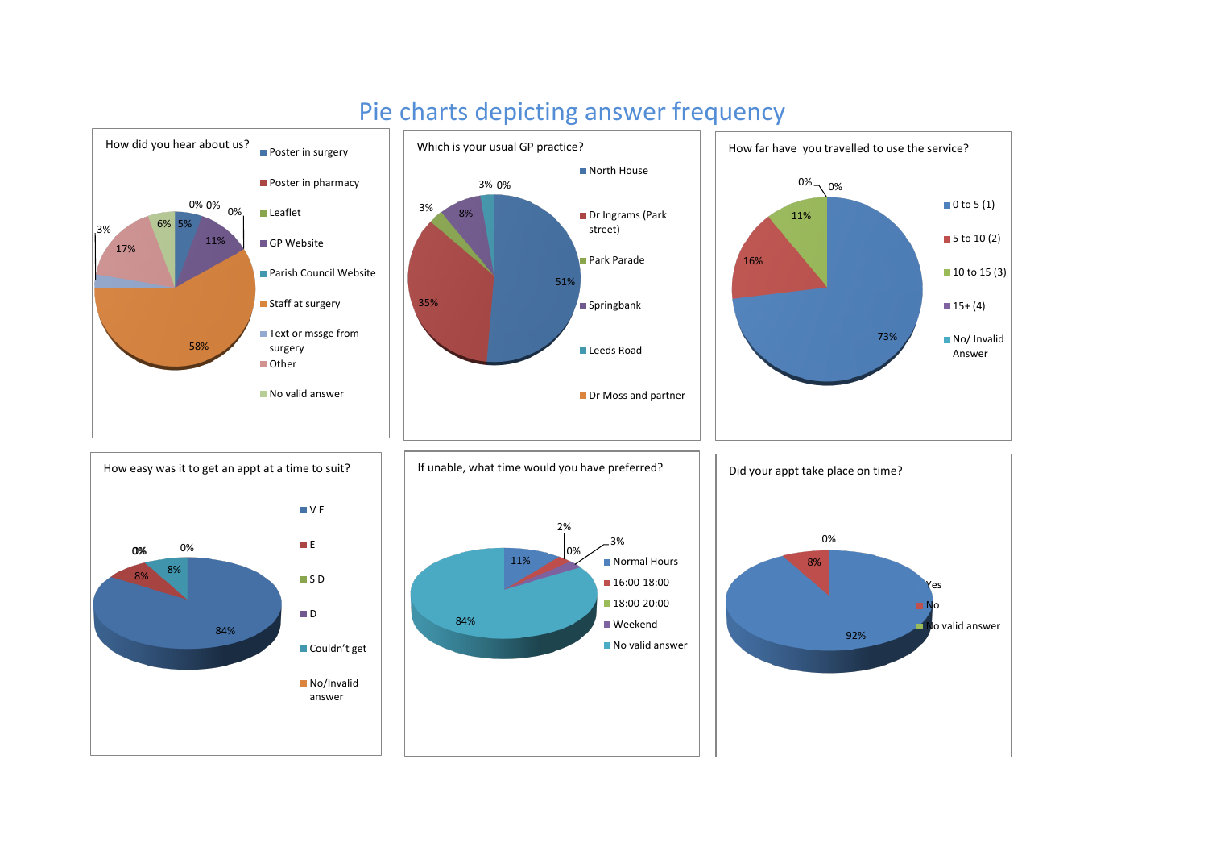

## Pie charts depicting answer frequency